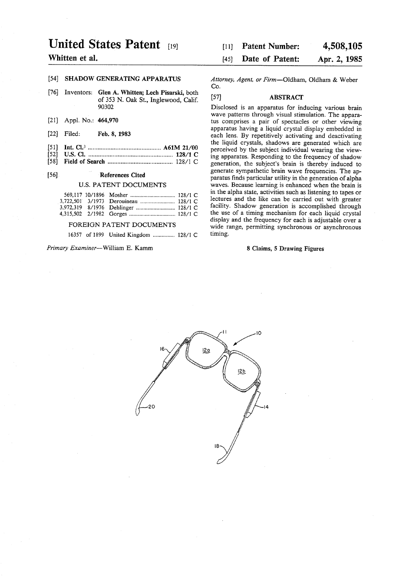# United States Patent (19)

## Whitten et al.

## 54] SHADOW GENERATING APPARATUS

- 76) Inventors: Glen A. Whitten; Lech Pisarski, both of 353 N. Oak St., Inglewood, Calif. 90302
- [21] Appl. No.:  $404,970$
- $[22]$ Filed: Feb. 8, 1983
- $\begin{bmatrix} 51 \\ 152 \end{bmatrix}$ Int. Cl.............................................. A61M 21/00
- $\bar{\mathfrak{h}}$ U.S. C. .................................................... 128/1 C
- $\mathfrak{g}$ Field of Search ........................................ 128/1 C

#### 56). References Cited

#### U.S. PATENT DOCUMENTS

| 3.722.501 3/1973 Derouineau  128/1 C |  |
|--------------------------------------|--|
|                                      |  |
|                                      |  |

### FOREIGN PATENT DOCUMENTS

16357 of 1899 United Kingdom ............... 128/1 C

#### Primary Examiner-William E. Kamm

#### 4,508,105 Apr. 2, 1985 Patent Number: Date of Patent: [11] 45)

Attorney, Agent, or Firm-Oldham, Oldham & Weber Co.

#### 57) ABSTRACT

Disclosed is an apparatus for inducing various brain wave patterns through visual stimulation. The appara tus comprises a pair of spectacles or other viewing apparatus having a liquid crystal display embedded in the liquid crystals, shadows are generated which are perceived by the subject individual wearing the view ing apparatus. Responding to the frequency of shadow generation, the subject's brain is thereby induced to generate sympathetic brain wave frequencies. The ap paratus finds particular utility in the generation of alpha waves. Because learning is enhanced when the brain is in the alpha state, activities such as listening to tapes or lectures and the like can be carried out with greater facility. Shadow generation is accomplished through the use of a timing mechanism for each liquid crystal display and the frequency for each is adjustable over a wide range, permitting synchronous or asynchronous timing.

#### 8 Claims, 5 Drawing Figures

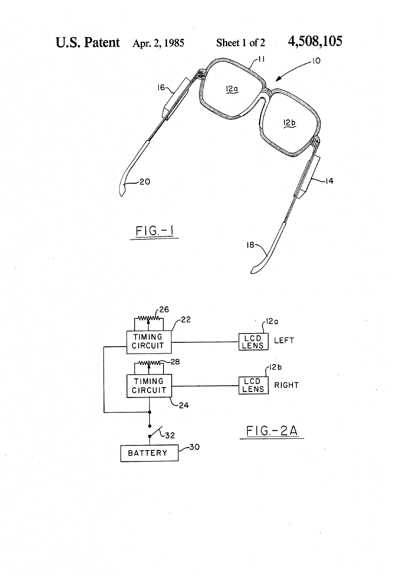

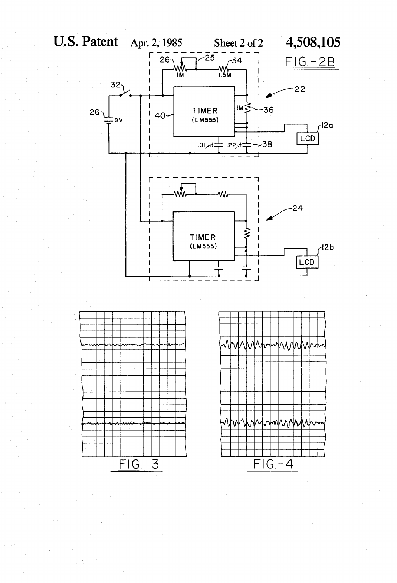$26<sub>2</sub>$ 





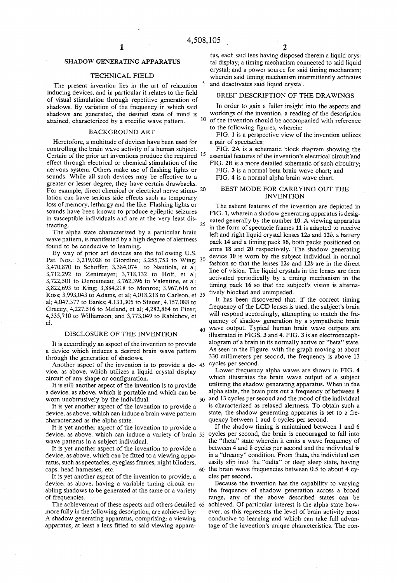5

40

### SHADOW GENERATING APPARATUS

#### TECHNICAL FIELD

The present invention lies in the art of relaxation inducing devices, and in particular it relates to the field of visual stimulation through repetitive generation of shadows. By variation of the frequency in which said shadows are generated, the desired state of mind is attained, characterized by a specific wave pattern. 10

#### BACKGROUND ART

Heretofore, a multitude of devices have been used for controlling the brain wave activity of a human subject. controlling the brain wave activity of a human subject. Certain of the prior art inventions produce the required 15 effect through electrical or chemical stimulation of the nervous system. Others make use of flashing lights or sounds. While all such devices may be effective to a greater or lesser degree, they have certain drawbacks. For example, direct chemical or electrical nerve stimu- 20 lation can have serious side effects such as temporary loss of memory, lethargy and the like. Flashing lights or sounds have been known to produce epileptic seizures in susceptible individuals and are at the very least dis tracting.  $25$ 

The alpha state characterized by a particular brain wave pattern, is manifested by a high degree of alertness found to be conducive to learning.

By way of prior art devices are the following U.S. Pat. Nos.: 3,219,028 to Giordino; 3,255,753 to Wing; 30 3,470,870 to Schoffer; 3,384,074 to Nautiola, et al; 3,712,292 to Zentmeyer; 3,718,132 to Holt, et al; 3,722,501 to Derouineau; 3,762,396 to Valentine, et al; 3,822,693 to King; 3,884,218 to Monroe; 3,967,616 to Ross; 3,993,043 to Adams, et al; 4,018,218 to Carlson, et 35 al; 4,047,377 to Banks; 4,133,305 to Steuer; 4,157,088 to Gracey; 4,227,516 to Meland, et al; 4,282,864 to Pizer; 4,335,710 to Williamson; and 3,773,049 to Rabichev, et al.

#### DISCLOSURE OF THE INVENTION

It is accordingly an aspect of the invention to provide a device which induces a desired brain wave pattern through the generation of shadows.

Another aspect of the invention is to provide a de- 45 cycles per second. vice, as above, which utilizes a liquid crystal display circuit of any shape or configuration.

It is still another aspect of the invention is to provide a device, as above, which is portable and which can be worn unobtrusively by the individual.

It is yet another aspect of the invention to provide a device, as above, which can induce a brain wave pattern characterized as the alpha state.

It is yet another aspect of the invention to provide a wave patterns in a subject individual.

It is yet another aspect of the invention to provide a device, as above, which can be fitted to a viewing appa ratus, such as spectacles, eyeglass frames, night blinders, caps, head harnesses, etc.

It is yet another aspect of the invention to provide, a device, as above, having a variable timing circuit en abling shadows to be generated at the same or a variety of frequencies.

I he achievement of these aspects and others detailed 65 more fully in the following description, are achieved by: A shadow generating apparatus, comprising: a viewing apparatus; at least a lens fitted to said viewing appara

tus, each said lens having disposed therein a liquid crystal display; a timing mechanism connected to said liquid crystal; and a power source for said timing mechanism; wherein said timing mechanism intermittently activates and deactivates said liquid crystal.

### BRIEF DESCRIPTION OF THE DRAWINGS

In order to gain a fuller insight into the aspects and workings of the invention, a reading of the description of the invention should be accompanied with reference to the following figures, wherein:

FIG. 1 is a perspective view of the invention utilizes a pair of spectacles;

FIG. 2A is a schematic block diagram showing the essential features of the invention's electrical circuit and

FIG. 2B is a more detailed schematic of such circuitry; FIG. 3 is a normal beta brain wave chart; and

FIG. 4 is a normal alpha brain wave chart.

#### BEST MODE FOR CARRYING OUT THE INVENTION

The salient features of the invention are depicted in FIG. 1, wherein a shadow generating apparatus is designated generally by the number 10. A viewing apparatus in the form of spectacle frames 11 is adapted to receive left and right liquid crystal lenses  $12a$  and  $12b$ , a battery pack 14 and a timing pack 16, both packs positioned on arms 18 and 20 respectively. The shadow generating device 10 is worn by the subject individual in normal fashion so that the lenses  $12a$  and  $12b$  are in the direct line of vision. The liquid crystals in the lenses are then activated periodically by a timing mechanism in the timing pack 16 so that the subject's vision is alterna tively blocked and unimpeded.<br>It has been discovered that, if the correct timing

frequency of the LCD lenses is used, the subject's brain will respond accordingly, attempting to match the fre quency of shadow generation by a sympathetic brain wave output. Typical human brain wave outputs are illustrated in FIGS. 3 and 4. FIG. 3 is an electroencephalogram of a brain in its normally active or "beta" state. As seen in the Figure, with the graph moving at about 330 millimeters per second, the frequency is above 13

50 and 13 cycles per second and the mood of the individual Lower frequency alpha waves are shown in FIG. 4<br>which illustrates the brain wave output of a subject utilizing the shadow generating apparatus. When in the alpha state, the brain puts out a frequency of between 8 is characterized as relaxed alertness. To obtain such a state, the shadow generating apparatus is set to a fre quency between 1 and 6 cycles per second.

device, as above, which can induce a variety of brain 55 cycles per second, the brain is encouraged to fall into 60 the brain wave frequencies between 0.5 to about 4 cy If the shadow timing is maintained between 1 and 6 the "theta" state wherein it emits a wave frequency of between 4 and 8 cycles per second and the individual is in a "dreamy' condition. From theta, the individual can easily slip into the "delta' or deep sleep state, having

cles per second.<br>Because the invention has the capability to varying the frequency of shadow generation across a broad range, any of the above described states can be achieved. Of particular interest is the alpha state how ever, as this represents the level of brain activity most conducive to learning and which can take full advan tage of the invention's unique characteristics. The con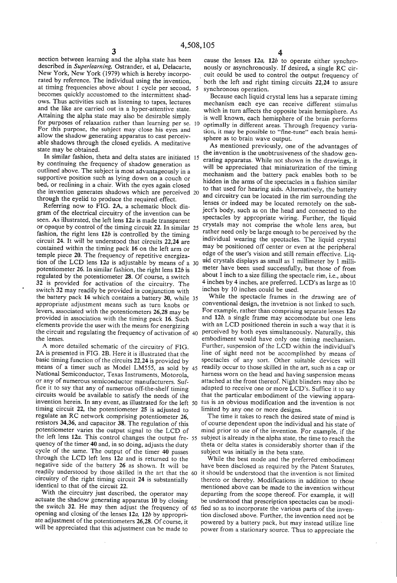nection between learning and the alpha state has been described in Superlearning, Ostrander, et al, Delacarte, New York, New York (1979) which is hereby incorporated by reference. The individual using the invention, at timing frequencies above about 1 cycle per second, becomes quickly accustomed to the intermittent shad ows. Thus activities such as listening to tapes, lectures and the like are carried out in a hyper-attentive state.<br>Attaining the alpha state may also be desirable simply Attaining the alpha State may also be desirable simply for purposes of relaxation rather than learning per se. 10 For this purpose, the subject may close his eyes and allow the shadow generating apparatus to cast perceiv able shadows through the closed eyelids. A meditative state may be obtained.

In similar fashion, theta and delta states are initiated 15 by continuing the frequency of shadow generation as outlined above. The subject is most advantageously in a supportive position such as lying down on a couch or bed, or reclining in a chair. With the eyes again closed through the eyelid to produce the required effect. bed, or recurring in a chair. With the eyes again crosed<br>to that used for hearing aids. Alternatively, the battery<br>the invention generates shadows which are perceived 20 and signifiant are balanced in the distribution

Referring now to FIG. 2A, a schematic block dia gram of the electrical circuitry of the invention can be seen. As illustrated, the left lens  $12a$  is made transparent or opaque by control of the timing circuit 22. In similar 25 fashion, the right lens  $12b$  is controlled by the timing circuit  $24$ . It will be understood that circuits  $22,24$  are contained within the timing pack 16 on the left arm or temple piece 20. The frequency of repetitive energizapotentiometer 26. In similar fashion, the right lens 12b is regulated by the potentiometer 28. Of course, a switch 32 is provided for activation of the circuitry. The switch 32 may readily be provided in conjunction with the battery pack 14 which contains a battery 30, while 35 appropriate adjustment means such as turn knobs or levers, associated with the potentiometers 26,28 may be provided in association with the timing pack 16. Such elements provide the user with the means for energizing tion of the LCD lens  $12a$  is adjustable by means of a 30 the circuit and regulating the frequency of activation of 40 the lenses.

A more detailed schematic of the circuitry of FIG. 2A is presented in FIG. 2B. Here it is illustrated that the basic timing function of the circuits 22.24 is provided by Mational Semiconductor, Texas Instruments, Motorola, or any of numerous semiconductor manufacturers. Suf-<br>fice it to say that any of numerous off-the-shelf timing circuits would be available to satisfy the needs of the invention herein. In any event, as illustrated for the left 50 timing circuit 22, the potentiometer 25 is adjusted to regulate an RC network comprising potentiometer 26, resistors 34,36, and capacitor 38. The regulation of this potentiometer varies the output signal to the LCD of the left lens 12*a*. This control changes the output fre- 55 quency of the timer 40 and, in so doing, adjusts the duty cycle of the same. The output of the timer 40 passes through the LCD left lens  $12a$  and is returned to the negative side of the battery 26 as shown. It will be readily understood by those skilled in the art that the 60 circuitry of the right timing circuit 24 is substantially identical to that of the circuit 22.<br>With the circuitry just described, the operator may means of a timer such as Model LM555, as sold by 45

actuate the shadow generating apparatus 10 by closing the switch 32. He may then adjust the frequency of 65 opening and closing of the lenses  $12a$ ,  $12b$  by appropriate adjustment of the potentiometers 26,28. Of course, it will be appreciated that this adjustment can be made to

 $\frac{4}{2}$  cause the lenses 12*a*, 12*b* to operate either synchronously or asynchronously. If desired, a single RC circuit could be used to control the output frequency of both the left and right timing circuits 22,24 to assure synchronous operation.

Because each liquid crystal lens has a separate timing mechanism each eye can receive different stimulus which in turn affects the opposite brain hemisphere. As is well known, each hemisphere of the brain performs optimally in different areas. Through frequency variation, it may be possible to "fine-tune' each brain hemi sphere as to brain wave output.

As mentioned previously, one of the advantages of the invention is the unobtrusiveness of the shadow generating apparatus. While not shown in the drawings, it will be appreciated that miniaturization of the timing mechanism and the battery pack enables both to be hidden in the arms of the spectacles in a fashion similar and circuitry can be located in the rim surrounding the lenses or indeed may be located remotely on the sub ject's body, such as on the head and connected to the spectacles by appropriate wiring. Further, the liquid crystals may not comprise the whole lens area, but rather need only be large enough to be perceived by the individual wearing the spectacles. The liquid crystal may be positioned off center or even at the peripheral<br>edge of the user's vision and still remain effective. Liquid crystals displays as small as 1 millimeter by 1 millimeter have been used successfully, but those of from about 1 inch to a size filling the spectacle rim, i.e., about 4 inches by 4 inches, are preferred. LCD's as large as 10 inches by 10 inches could be used.

While the spectacle frames in the drawing are of conventional design, the invetnion is not linked to such. For example, rather than comprising separate lenses 12a and 12b, a single frame may accomodate but one lens with an LCD positioned therein in such a way that it is perceived by both eyes simultaneously. Naturally, this embodiment would have only one timing mechanism. Further, suspension of the LCD within the individual's line of sight need not be accomplished by means of spectacles of any sort. Other suitable devices will readily occur to those skilled in the art, such as a cap or harness worn on the head and having suspension means attached at the front thereof. Night blinders may also be adapted to receive one or more LCD's. Suffice it to say that the particular embodiment of the viewing apparatus is an obvious modification and the invention is not limited by any one or more designs.

The time it takes to reach the desired state of mind is of course dependent upon the individual and his state of mind prior to use of the invention. For example, if the subject is already in the alpha state, the time to reach the theta or delta states is considerably shorter than if the subject was initially in the beta state.

While the best mode and the preferred embodiment have been disclosed as required by the Patent Statutes, it should be understood that the invention is not limited thereto or thereby. Modifications in addition to those mentioned above can be made to the invention without departing from the scope thereof. For example, it will be understood that prescription spectacles can be modi fied so as to incorporate the various parts of the inven tion disclosed above. Further, the invention need not be powered by a battery pack, but may instead utilize line power from a stationary source. Thus to appreciate the